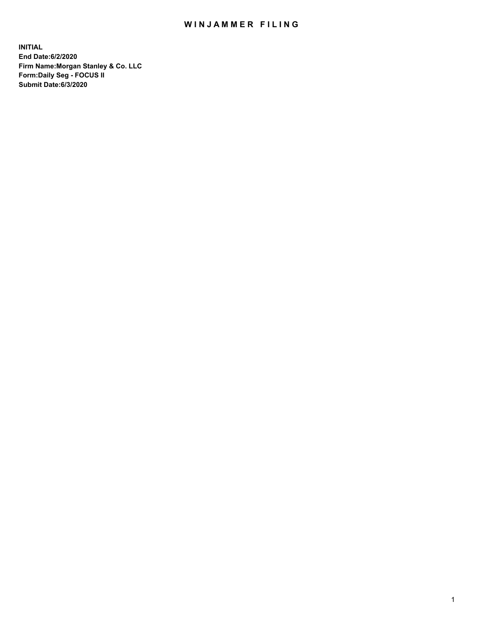## WIN JAMMER FILING

**INITIAL End Date:6/2/2020 Firm Name:Morgan Stanley & Co. LLC Form:Daily Seg - FOCUS II Submit Date:6/3/2020**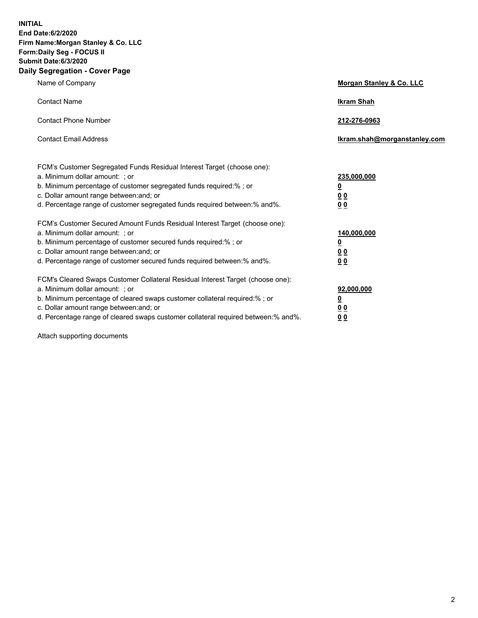**INITIAL End Date:6/2/2020 Firm Name:Morgan Stanley & Co. LLC Form:Daily Seg - FOCUS II Submit Date:6/3/2020 Daily Segregation - Cover Page**

| Name of Company                                                                   | Morgan Stanley & Co. LLC     |
|-----------------------------------------------------------------------------------|------------------------------|
| <b>Contact Name</b>                                                               | <b>Ikram Shah</b>            |
| <b>Contact Phone Number</b>                                                       | 212-276-0963                 |
| <b>Contact Email Address</b>                                                      | Ikram.shah@morganstanley.com |
| FCM's Customer Segregated Funds Residual Interest Target (choose one):            |                              |
| a. Minimum dollar amount: ; or                                                    | 235,000,000                  |
| b. Minimum percentage of customer segregated funds required:%; or                 | <u>0</u>                     |
| c. Dollar amount range between: and; or                                           | <u>00</u>                    |
| d. Percentage range of customer segregated funds required between:% and%.         | 0 Q                          |
| FCM's Customer Secured Amount Funds Residual Interest Target (choose one):        |                              |
| a. Minimum dollar amount: ; or                                                    | 140,000,000                  |
| b. Minimum percentage of customer secured funds required:%; or                    | <u>0</u>                     |
| c. Dollar amount range between: and; or                                           | <u>0 0</u>                   |
| d. Percentage range of customer secured funds required between: % and %.          | 0 Q                          |
| FCM's Cleared Swaps Customer Collateral Residual Interest Target (choose one):    |                              |
| a. Minimum dollar amount: ; or                                                    | 92,000,000                   |
| b. Minimum percentage of cleared swaps customer collateral required:% ; or        | <u>0</u>                     |
| c. Dollar amount range between: and; or                                           | 0 Q                          |
| d. Percentage range of cleared swaps customer collateral required between:% and%. | 0 <sub>0</sub>               |
|                                                                                   |                              |

Attach supporting documents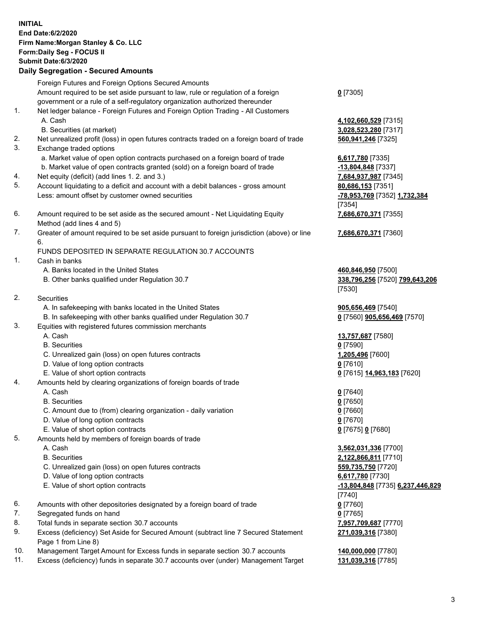| <b>INITIAL</b> | End Date: 6/2/2020<br>Firm Name: Morgan Stanley & Co. LLC<br>Form: Daily Seg - FOCUS II<br><b>Submit Date:6/3/2020</b><br><b>Daily Segregation - Secured Amounts</b>                                                                               |                                                                                                                                             |
|----------------|----------------------------------------------------------------------------------------------------------------------------------------------------------------------------------------------------------------------------------------------------|---------------------------------------------------------------------------------------------------------------------------------------------|
|                | Foreign Futures and Foreign Options Secured Amounts<br>Amount required to be set aside pursuant to law, rule or regulation of a foreign<br>government or a rule of a self-regulatory organization authorized thereunder                            | $0$ [7305]                                                                                                                                  |
| 1.             | Net ledger balance - Foreign Futures and Foreign Option Trading - All Customers<br>A. Cash<br>B. Securities (at market)                                                                                                                            | 4,102,660,529 [7315]<br>3,028,523,280 [7317]                                                                                                |
| 2.<br>3.       | Net unrealized profit (loss) in open futures contracts traded on a foreign board of trade<br>Exchange traded options<br>a. Market value of open option contracts purchased on a foreign board of trade                                             | 560,941,246 [7325]<br>6,617,780 [7335]                                                                                                      |
| 4.<br>5.       | b. Market value of open contracts granted (sold) on a foreign board of trade<br>Net equity (deficit) (add lines 1. 2. and 3.)                                                                                                                      | -13,804,848 [7337]<br>7,684,937,987 [7345]                                                                                                  |
|                | Account liquidating to a deficit and account with a debit balances - gross amount<br>Less: amount offset by customer owned securities                                                                                                              | 80,686,153 [7351]<br>-78,953,769 [7352] 1,732,384<br>[7354]                                                                                 |
| 6.             | Amount required to be set aside as the secured amount - Net Liquidating Equity<br>Method (add lines 4 and 5)                                                                                                                                       | 7,686,670,371 [7355]                                                                                                                        |
| 7.             | Greater of amount required to be set aside pursuant to foreign jurisdiction (above) or line<br>6.<br>FUNDS DEPOSITED IN SEPARATE REGULATION 30.7 ACCOUNTS                                                                                          | 7,686,670,371 [7360]                                                                                                                        |
| 1.             | Cash in banks<br>A. Banks located in the United States<br>B. Other banks qualified under Regulation 30.7                                                                                                                                           | 460,846,950 [7500]<br>338,796,256 [7520] 799,643,206<br>[7530]                                                                              |
| 2.             | <b>Securities</b><br>A. In safekeeping with banks located in the United States<br>B. In safekeeping with other banks qualified under Regulation 30.7                                                                                               | 905,656,469 [7540]<br>0 [7560] 905,656,469 [7570]                                                                                           |
| 3.             | Equities with registered futures commission merchants<br>A. Cash<br><b>B.</b> Securities<br>C. Unrealized gain (loss) on open futures contracts<br>D. Value of long option contracts<br>E. Value of short option contracts                         | 13,757,687 [7580]<br>$0$ [7590]<br>1,205,496 [7600]<br>$0$ [7610]<br><u>0</u> [7615] 14,963,183 [7620]                                      |
| 4.             | Amounts held by clearing organizations of foreign boards of trade<br>A. Cash<br><b>B.</b> Securities<br>C. Amount due to (from) clearing organization - daily variation<br>D. Value of long option contracts<br>E. Value of short option contracts | $0$ [7640]<br>$0$ [7650]<br>$0$ [7660]<br>$0$ [7670]<br>0 [7675] 0 [7680]                                                                   |
| 5.             | Amounts held by members of foreign boards of trade<br>A. Cash<br><b>B.</b> Securities<br>C. Unrealized gain (loss) on open futures contracts<br>D. Value of long option contracts<br>E. Value of short option contracts                            | 3,562,031,336 [7700]<br>2,122,866,811 [7710]<br>559,735,750 [7720]<br>6,617,780 [7730]<br><u>-13,804,848</u> [7735] 6,237,446,829<br>[7740] |
| 6.<br>7.       | Amounts with other depositories designated by a foreign board of trade<br>Segregated funds on hand                                                                                                                                                 | $0$ [7760]<br>$0$ [7765]                                                                                                                    |
| 8.             | Total funds in separate section 30.7 accounts                                                                                                                                                                                                      | 7,957,709,687 [7770]                                                                                                                        |
| 9.             | Excess (deficiency) Set Aside for Secured Amount (subtract line 7 Secured Statement<br>Page 1 from Line 8)                                                                                                                                         | 271,039,316 [7380]                                                                                                                          |
| 10.            | Management Target Amount for Excess funds in separate section 30.7 accounts                                                                                                                                                                        | 140,000,000 [7780]                                                                                                                          |

11. Excess (deficiency) funds in separate 30.7 accounts over (under) Management Target **131,039,316** [7785]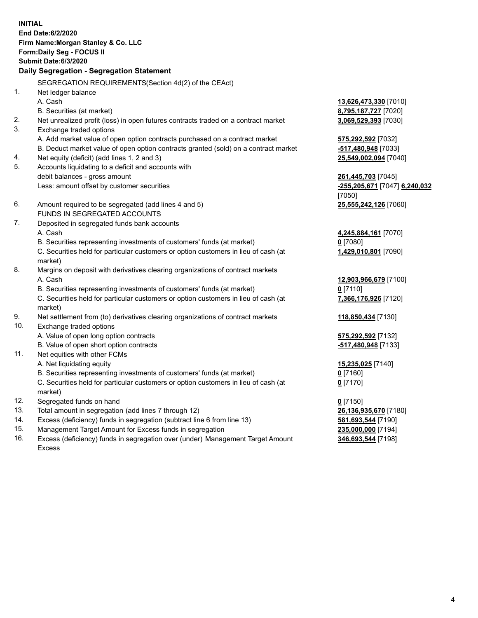|          | <b>INITIAL</b><br>End Date:6/2/2020<br>Firm Name: Morgan Stanley & Co. LLC<br>Form: Daily Seg - FOCUS II<br><b>Submit Date:6/3/2020</b><br>Daily Segregation - Segregation Statement |                                                     |
|----------|--------------------------------------------------------------------------------------------------------------------------------------------------------------------------------------|-----------------------------------------------------|
|          |                                                                                                                                                                                      |                                                     |
|          | SEGREGATION REQUIREMENTS(Section 4d(2) of the CEAct)                                                                                                                                 |                                                     |
| 1.       | Net ledger balance                                                                                                                                                                   |                                                     |
|          | A. Cash                                                                                                                                                                              | 13,626,473,330 [7010]                               |
|          | B. Securities (at market)                                                                                                                                                            | 8,795,187,727 [7020]                                |
| 2.<br>3. | Net unrealized profit (loss) in open futures contracts traded on a contract market                                                                                                   | 3,069,529,393 [7030]                                |
|          | Exchange traded options                                                                                                                                                              |                                                     |
|          | A. Add market value of open option contracts purchased on a contract market                                                                                                          | 575,292,592 [7032]                                  |
|          | B. Deduct market value of open option contracts granted (sold) on a contract market                                                                                                  | -517,480,948 [7033]                                 |
| 4.<br>5. | Net equity (deficit) (add lines 1, 2 and 3)                                                                                                                                          | 25,549,002,094 [7040]                               |
|          | Accounts liquidating to a deficit and accounts with<br>debit balances - gross amount                                                                                                 |                                                     |
|          | Less: amount offset by customer securities                                                                                                                                           | 261,445,703 [7045]<br>-255,205,671 [7047] 6,240,032 |
|          |                                                                                                                                                                                      | [7050]                                              |
| 6.       | Amount required to be segregated (add lines 4 and 5)                                                                                                                                 | 25,555,242,126 [7060]                               |
|          | FUNDS IN SEGREGATED ACCOUNTS                                                                                                                                                         |                                                     |
| 7.       | Deposited in segregated funds bank accounts                                                                                                                                          |                                                     |
|          | A. Cash                                                                                                                                                                              | 4,245,884,161 <sub>[7070]</sub>                     |
|          | B. Securities representing investments of customers' funds (at market)                                                                                                               | $0$ [7080]                                          |
|          | C. Securities held for particular customers or option customers in lieu of cash (at                                                                                                  | 1,429,010,801 [7090]                                |
|          | market)                                                                                                                                                                              |                                                     |
| 8.       | Margins on deposit with derivatives clearing organizations of contract markets                                                                                                       |                                                     |
|          | A. Cash                                                                                                                                                                              | 12,903,966,679 [7100]                               |
|          | B. Securities representing investments of customers' funds (at market)                                                                                                               | $0$ [7110]                                          |
|          | C. Securities held for particular customers or option customers in lieu of cash (at                                                                                                  | 7,366,176,926 [7120]                                |
|          | market)                                                                                                                                                                              |                                                     |
| 9.       | Net settlement from (to) derivatives clearing organizations of contract markets                                                                                                      | 118,850,434 [7130]                                  |
| 10.      | Exchange traded options                                                                                                                                                              |                                                     |
|          | A. Value of open long option contracts                                                                                                                                               | 575,292,592 [7132]                                  |
|          | B. Value of open short option contracts                                                                                                                                              | -517,480,948 [7133]                                 |
| 11.      | Net equities with other FCMs                                                                                                                                                         |                                                     |
|          | A. Net liquidating equity                                                                                                                                                            | 15,235,025 [7140]                                   |
|          | B. Securities representing investments of customers' funds (at market)                                                                                                               | $0$ [7160]                                          |
|          | C. Securities held for particular customers or option customers in lieu of cash (at                                                                                                  | $0$ [7170]                                          |
|          | market)                                                                                                                                                                              |                                                     |
| 12.      | Segregated funds on hand                                                                                                                                                             | $0$ [7150]                                          |
| 13.      | Total amount in segregation (add lines 7 through 12)                                                                                                                                 | 26,136,935,670 [7180]                               |
| 14.      | Excess (deficiency) funds in segregation (subtract line 6 from line 13)                                                                                                              | 581,693,544 [7190]                                  |
| $15 -$   | Managament Target Amount for Excess funds in segregation                                                                                                                             | 235 000 000 [7104]                                  |

15. Management Target Amount for Excess funds in segregation<br>16. Excess (deficiency) funds in segregation over (under) Manag Excess (deficiency) funds in segregation over (under) Management Target Amount Excess

**346,693,544** [7198]